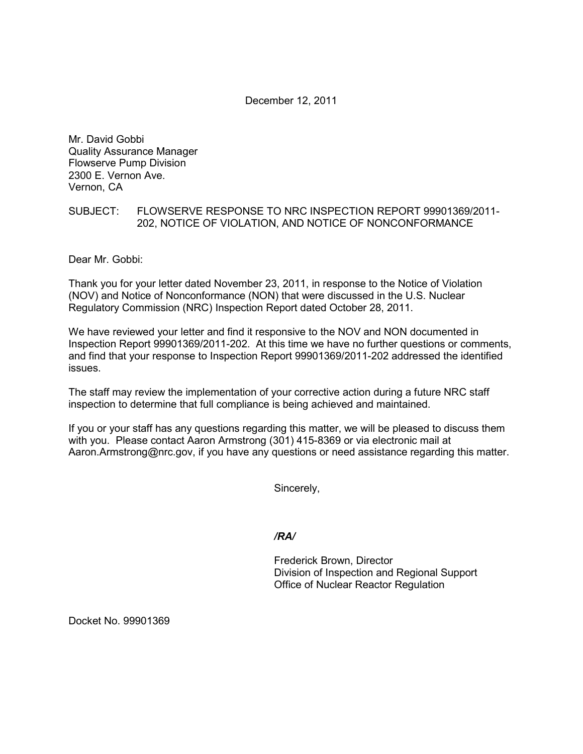December 12, 2011

Mr. David Gobbi Quality Assurance Manager Flowserve Pump Division 2300 E. Vernon Ave. Vernon, CA

## SUBJECT: FLOWSERVE RESPONSE TO NRC INSPECTION REPORT 99901369/2011- 202, NOTICE OF VIOLATION, AND NOTICE OF NONCONFORMANCE

Dear Mr. Gobbi:

Thank you for your letter dated November 23, 2011, in response to the Notice of Violation (NOV) and Notice of Nonconformance (NON) that were discussed in the U.S. Nuclear Regulatory Commission (NRC) Inspection Report dated October 28, 2011.

We have reviewed your letter and find it responsive to the NOV and NON documented in Inspection Report 99901369/2011-202. At this time we have no further questions or comments, and find that your response to Inspection Report 99901369/2011-202 addressed the identified issues.

The staff may review the implementation of your corrective action during a future NRC staff inspection to determine that full compliance is being achieved and maintained.

If you or your staff has any questions regarding this matter, we will be pleased to discuss them with you. Please contact Aaron Armstrong (301) 415-8369 or via electronic mail at Aaron.Armstrong@nrc.gov, if you have any questions or need assistance regarding this matter.

Sincerely,

*/RA/* 

Frederick Brown, Director Division of Inspection and Regional Support Office of Nuclear Reactor Regulation

Docket No. 99901369